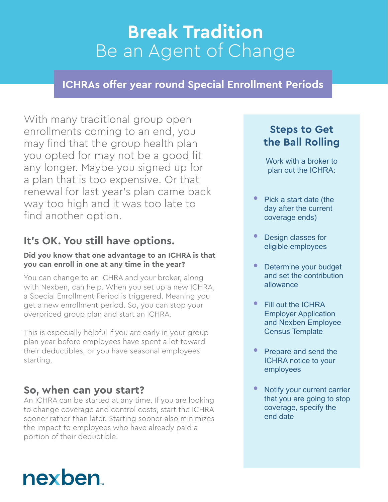## **Break Tradition** Be an Agent of Change

#### **ICHRAs offer year round Special Enrollment Periods**

With many traditional group open enrollments coming to an end, you may find that the group health plan you opted for may not be a good fit any longer. Maybe you signed up for a plan that is too expensive. Or that renewal for last year's plan came back way too high and it was too late to find another option.

#### **It's OK. You still have options.**

#### **Did you know that one advantage to an ICHRA is that you can enroll in one at any time in the year?**

You can change to an ICHRA and your broker, along with Nexben, can help. When you set up a new ICHRA, a Special Enrollment Period is triggered. Meaning you get a new enrollment period. So, you can stop your overpriced group plan and start an ICHRA.

This is especially helpful if you are early in your group plan year before employees have spent a lot toward their deductibles, or you have seasonal employees starting.

#### **So, when can you start?**

An ICHRA can be started at any time. If you are looking to change coverage and control costs, start the ICHRA sooner rather than later. Starting sooner also minimizes the impact to employees who have already paid a portion of their deductible.

#### **Steps to Get the Ball Rolling**

Work with a broker to plan out the ICHRA:

- Pick a start date (the day after the current coverage ends)
- Design classes for eligible employees
- Determine your budget and set the contribution allowance
- Fill out the ICHRA Employer Application and Nexben Employee Census Template
- Prepare and send the ICHRA notice to your employees
- Notify your current carrier that you are going to stop coverage, specify the end date